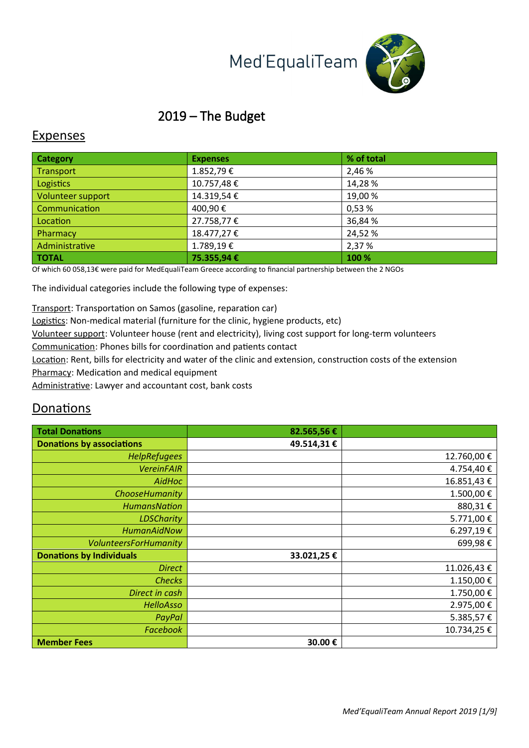# Med'EqualiTeam



## 2019 – The Budget

#### Expenses

| <b>Category</b>   | <b>Expenses</b> | % of total |
|-------------------|-----------------|------------|
| Transport         | 1.852,79€       | 2,46 %     |
| <b>Logistics</b>  | 10.757,48€      | 14,28%     |
| Volunteer support | 14.319,54€      | 19,00%     |
| Communication     | 400,90€         | 0,53 %     |
| Location          | 27.758,77€      | 36,84 %    |
| Pharmacy          | 18.477,27€      | 24,52 %    |
| Administrative    | 1.789,19€       | 2,37 %     |
| <b>TOTAL</b>      | 75.355,94 €     | 100 %      |

Of which 60 058,13€ were paid for MedEqualiTeam Greece according to financial partnership between the 2 NGOs

The individual categories include the following type of expenses:

Transport: Transportation on Samos (gasoline, reparation car)

Logistics: Non-medical material (furniture for the clinic, hygiene products, etc)

Volunteer support: Volunteer house (rent and electricity), living cost support for long-term volunteers

Communication: Phones bills for coordination and patients contact

Location: Rent, bills for electricity and water of the clinic and extension, construction costs of the extension Pharmacy: Medication and medical equipment

Administrative: Lawyer and accountant cost, bank costs

#### Donations

| <b>Total Donations</b>           | 82.565,56€ |            |
|----------------------------------|------------|------------|
| <b>Donations by associations</b> | 49.514,31€ |            |
| <b>HelpRefugees</b>              |            | 12.760,00€ |
| <b>VereinFAIR</b>                |            | 4.754,40€  |
| AidHoc                           |            | 16.851,43€ |
| ChooseHumanity                   |            | 1.500,00€  |
| <b>HumansNation</b>              |            | 880,31€    |
| <b>LDSCharity</b>                |            | 5.771,00€  |
| <b>HumanAidNow</b>               |            | 6.297,19€  |
| <b>VolunteersForHumanity</b>     |            | 699,98€    |
| <b>Donations by Individuals</b>  | 33.021,25€ |            |
| <b>Direct</b>                    |            | 11.026,43€ |
| <b>Checks</b>                    |            | 1.150,00€  |
| Direct in cash                   |            | 1.750,00€  |
| <b>HelloAsso</b>                 |            | 2.975,00€  |
| PayPal                           |            | 5.385,57€  |
| <b>Facebook</b>                  |            | 10.734,25€ |
| <b>Member Fees</b>               | 30.00€     |            |